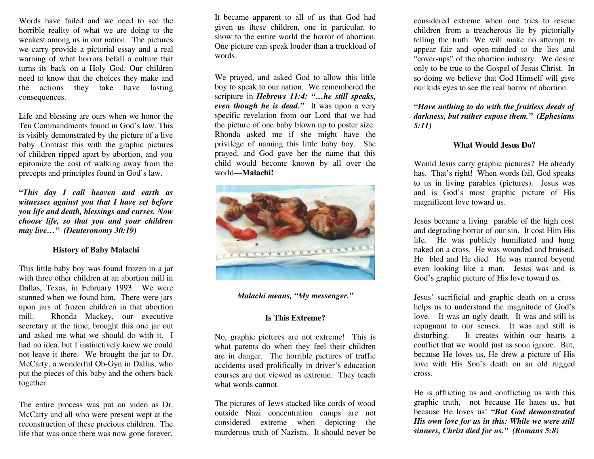Words have failed and we need to see the horrible reality of what we are doing to the weakest among us in our nation. The pictures we carry provide a pictorial essay and a real warning of what horrors befall a culture that turns its back on a Holy God. Our children need to know that the choices they make and the actions they take have lasting consequences.

Life and blessing are ours when we honor the Ten Commandments found in God's law. This is visibly demonstrated by the picture of a live baby. Contrast this with the graphic pictures of children ripped apart by abortion, and you epitomize the cost of walking away from the precepts and principles found in God's law.

*"This day I call heaven and earth as witnesses against you that I have set before you life and death, blessings and curses. Now choose life, so that you and your children may live…" (Deuteronomy 30:19)*

### **History of Baby Malachi**

This little baby boy was found frozen in a jar with three other children at an abortion mill in Dallas, Texas, in February 1993. We were stunned when we found him. There were jars upon jars of frozen children in that abortion mill. Rhonda Mackey, our executive secretary at the time, brought this one jar out and asked me what we should do with it. I had no idea, but I instinctively knew we could not leave it there. We brought the jar to Dr. McCarty, a wonderful Ob-Gyn in Dallas, who put the pieces of this baby and the others back together.

The entire process was put on video as Dr. McCarty and all who were present wept at the reconstruction of these precious children. The life that was once there was now gone forever.

It became apparent to all of us that God had given us these children, one in particular, to show to the entire world the horror of abortion. One picture can speak louder than a truckload of words.

We prayed, and asked God to allow this little boy to speak to our nation. We remembered the scripture in *Hebrews 11:4: "…he still speaks, even though he is dead."* It was upon a very specific revelation from our Lord that we had the picture of one baby blown up to poster size. Rhonda asked me if she might have the privilege of naming this little baby boy. She prayed, and God gave her the name that this child would become known by all over the world—**Malachi!**



## *Malachi means, "My messenger."*

# **Is This Extreme?**

No, graphic pictures are not extreme! This is what parents do when they feel their children are in danger. The horrible pictures of traffic accidents used prolifically in driver's education courses are not viewed as extreme. They teach what words cannot.

The pictures of Jews stacked like cords of wood outside Nazi concentration camps are not considered extreme when depicting the murderous truth of Nazism. It should never be

considered extreme when one tries to rescue children from a treacherous lie by pictorially telling the truth. We will make no attempt to appear fair and open-minded to the lies and "cover-ups" of the abortion industry. We desire only to be true to the Gospel of Jesus Christ. In so doing we believe that God Himself will give our kids eyes to see the real horror of abortion.

*"Have nothing to do with the fruitless deeds of darkness, but rather expose them." (Ephesians 5:11)*

#### **What Would Jesus Do?**

Would Jesus carry graphic pictures? He already has. That's right! When words fail, God speaks to us in living parables (pictures). Jesus was and is God's most graphic picture of His magnificent love toward us.

Jesus became a living parable of the high cost and degrading horror of our sin. It cost Him His life. He was publicly humiliated and hung naked on a cross. He was wounded and bruised. He bled and He died. He was marred beyond even looking like a man. Jesus was and is God's graphic picture of His love toward us.

Jesus' sacrificial and graphic death on a cross helps us to understand the magnitude of God's love. It was an ugly death. It was and still is repugnant to our senses. It was and still is disturbing. It creates within our hearts a conflict that we would just as soon ignore. But, because He loves us, He drew a picture of His love with His Son's death on an old rugged cross.

He is afflicting us and conflicting us with this graphic truth, not because He hates us, but because He loves us! *"But God demonstrated His own love for us in this: While we were still sinners, Christ died for us." (Romans 5:8)*